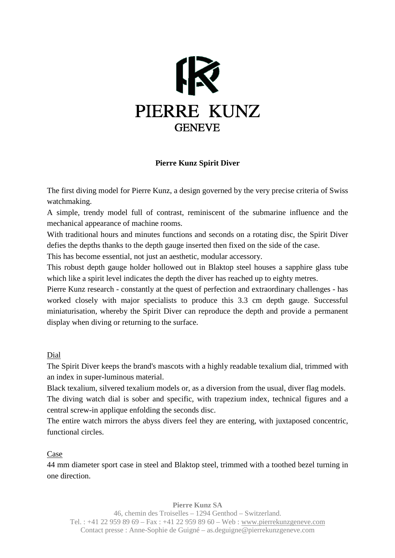

## **Pierre Kunz Spirit Diver**

The first diving model for Pierre Kunz, a design governed by the very precise criteria of Swiss watchmaking.

A simple, trendy model full of contrast, reminiscent of the submarine influence and the mechanical appearance of machine rooms.

With traditional hours and minutes functions and seconds on a rotating disc, the Spirit Diver defies the depths thanks to the depth gauge inserted then fixed on the side of the case.

This has become essential, not just an aesthetic, modular accessory.

This robust depth gauge holder hollowed out in Blaktop steel houses a sapphire glass tube which like a spirit level indicates the depth the diver has reached up to eighty metres.

Pierre Kunz research - constantly at the quest of perfection and extraordinary challenges - has worked closely with major specialists to produce this 3.3 cm depth gauge. Successful miniaturisation, whereby the Spirit Diver can reproduce the depth and provide a permanent display when diving or returning to the surface.

Dial

The Spirit Diver keeps the brand's mascots with a highly readable texalium dial, trimmed with an index in super-luminous material.

Black texalium, silvered texalium models or, as a diversion from the usual, diver flag models.

The diving watch dial is sober and specific, with trapezium index, technical figures and a central screw-in applique enfolding the seconds disc.

The entire watch mirrors the abyss divers feel they are entering, with juxtaposed concentric, functional circles.

## Case

44 mm diameter sport case in steel and Blaktop steel, trimmed with a toothed bezel turning in one direction.